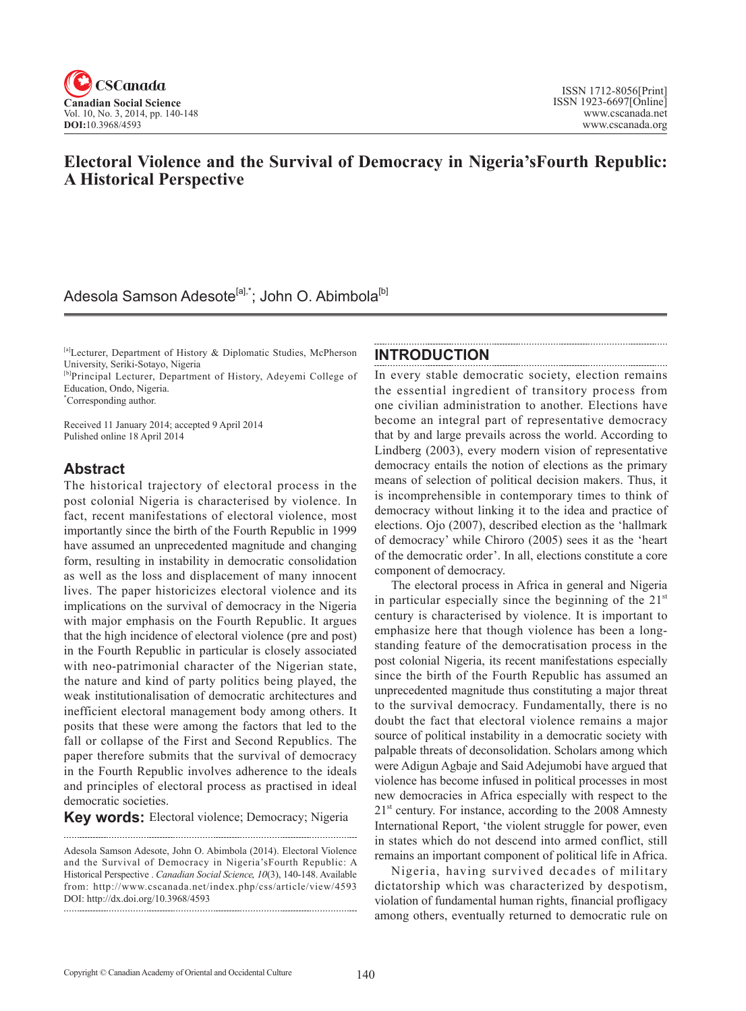

## **Electoral Violence and the Survival of Democracy in Nigeria'sFourth Republic: A Historical Perspective**

## Adesola Samson Adesote<sup>[a],\*</sup>; John O. Abimbola<sup>[b]</sup>

[a]Lecturer, Department of History & Diplomatic Studies, McPherson University, Seriki-Sotayo, Nigeria

[b]Principal Lecturer, Department of History, Adeyemi College of Education, Ondo, Nigeria.

\* Corresponding author.

Received 11 January 2014; accepted 9 April 2014 Pulished online 18 April 2014

### **Abstract**

The historical trajectory of electoral process in the post colonial Nigeria is characterised by violence. In fact, recent manifestations of electoral violence, most importantly since the birth of the Fourth Republic in 1999 have assumed an unprecedented magnitude and changing form, resulting in instability in democratic consolidation as well as the loss and displacement of many innocent lives. The paper historicizes electoral violence and its implications on the survival of democracy in the Nigeria with major emphasis on the Fourth Republic. It argues that the high incidence of electoral violence (pre and post) in the Fourth Republic in particular is closely associated with neo-patrimonial character of the Nigerian state, the nature and kind of party politics being played, the weak institutionalisation of democratic architectures and inefficient electoral management body among others. It posits that these were among the factors that led to the fall or collapse of the First and Second Republics. The paper therefore submits that the survival of democracy in the Fourth Republic involves adherence to the ideals and principles of electoral process as practised in ideal democratic societies.

**Key words:** Electoral violence; Democracy; Nigeria

#### **INTRODUCTION**

In every stable democratic society, election remains the essential ingredient of transitory process from one civilian administration to another. Elections have become an integral part of representative democracy that by and large prevails across the world. According to Lindberg (2003), every modern vision of representative democracy entails the notion of elections as the primary means of selection of political decision makers. Thus, it is incomprehensible in contemporary times to think of democracy without linking it to the idea and practice of elections. Ojo (2007), described election as the 'hallmark of democracy' while Chiroro (2005) sees it as the 'heart of the democratic order'. In all, elections constitute a core component of democracy.

The electoral process in Africa in general and Nigeria in particular especially since the beginning of the  $21<sup>st</sup>$ century is characterised by violence. It is important to emphasize here that though violence has been a longstanding feature of the democratisation process in the post colonial Nigeria, its recent manifestations especially since the birth of the Fourth Republic has assumed an unprecedented magnitude thus constituting a major threat to the survival democracy. Fundamentally, there is no doubt the fact that electoral violence remains a major source of political instability in a democratic society with palpable threats of deconsolidation. Scholars among which were Adigun Agbaje and Said Adejumobi have argued that violence has become infused in political processes in most new democracies in Africa especially with respect to the  $21<sup>st</sup>$  century. For instance, according to the 2008 Amnesty International Report, 'the violent struggle for power, even in states which do not descend into armed conflict, still remains an important component of political life in Africa.

Nigeria, having survived decades of military dictatorship which was characterized by despotism, violation of fundamental human rights, financial profligacy among others, eventually returned to democratic rule on

Adesola Samson Adesote, John O. Abimbola (2014). Electoral Violence and the Survival of Democracy in Nigeria'sFourth Republic: A Historical Perspective . *Canadian Social Science*, <sup>10</sup>(3), 140-148. Available from: http://www.cscanada.net/index.php/css/article/view/4593 DOI: http://dx.doi.org/10.3968/4593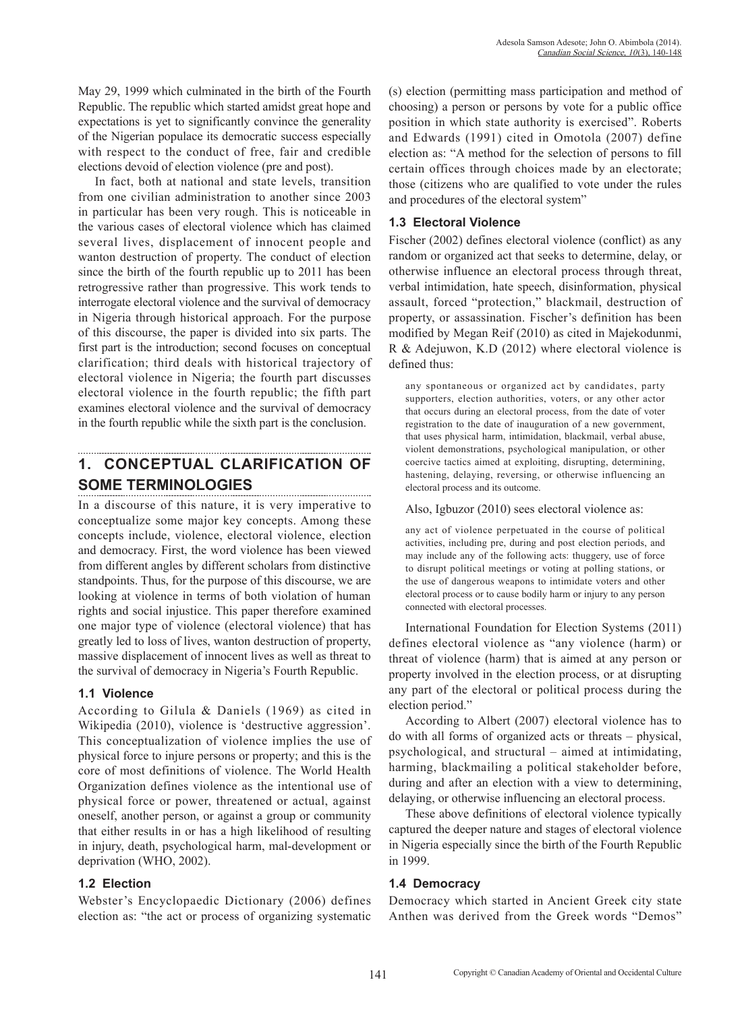May 29, 1999 which culminated in the birth of the Fourth Republic. The republic which started amidst great hope and expectations is yet to significantly convince the generality of the Nigerian populace its democratic success especially with respect to the conduct of free, fair and credible elections devoid of election violence (pre and post).

In fact, both at national and state levels, transition from one civilian administration to another since 2003 in particular has been very rough. This is noticeable in the various cases of electoral violence which has claimed several lives, displacement of innocent people and wanton destruction of property. The conduct of election since the birth of the fourth republic up to 2011 has been retrogressive rather than progressive. This work tends to interrogate electoral violence and the survival of democracy in Nigeria through historical approach. For the purpose of this discourse, the paper is divided into six parts. The first part is the introduction; second focuses on conceptual clarification; third deals with historical trajectory of electoral violence in Nigeria; the fourth part discusses electoral violence in the fourth republic; the fifth part examines electoral violence and the survival of democracy in the fourth republic while the sixth part is the conclusion.

## **1. CONCEPTUAL CLARIFICATION OF SOME TERMINOLOGIES**

In a discourse of this nature, it is very imperative to conceptualize some major key concepts. Among these concepts include, violence, electoral violence, election and democracy. First, the word violence has been viewed from different angles by different scholars from distinctive standpoints. Thus, for the purpose of this discourse, we are looking at violence in terms of both violation of human rights and social injustice. This paper therefore examined one major type of violence (electoral violence) that has greatly led to loss of lives, wanton destruction of property, massive displacement of innocent lives as well as threat to the survival of democracy in Nigeria's Fourth Republic.

#### **1.1 Violence**

According to Gilula & Daniels (1969) as cited in Wikipedia (2010), violence is 'destructive aggression'. This conceptualization of violence implies the use of physical force to injure persons or property; and this is the core of most definitions of violence. The World Health Organization defines violence as the intentional use of physical force or power, threatened or actual, against oneself, another person, or against a group or community that either results in or has a high likelihood of resulting in injury, death, psychological harm, mal-development or deprivation (WHO, 2002).

#### **1.2 Election**

Webster's Encyclopaedic Dictionary (2006) defines election as: "the act or process of organizing systematic

(s) election (permitting mass participation and method of choosing) a person or persons by vote for a public office position in which state authority is exercised". Roberts and Edwards (1991) cited in Omotola (2007) define election as: "A method for the selection of persons to fill certain offices through choices made by an electorate; those (citizens who are qualified to vote under the rules and procedures of the electoral system"

#### **1.3 Electoral Violence**

Fischer (2002) defines electoral violence (conflict) as any random or organized act that seeks to determine, delay, or otherwise influence an electoral process through threat, verbal intimidation, hate speech, disinformation, physical assault, forced "protection," blackmail, destruction of property, or assassination. Fischer's definition has been modified by Megan Reif (2010) as cited in Majekodunmi, R & Adejuwon, K.D (2012) where electoral violence is defined thus:

any spontaneous or organized act by candidates, party supporters, election authorities, voters, or any other actor that occurs during an electoral process, from the date of voter registration to the date of inauguration of a new government, that uses physical harm, intimidation, blackmail, verbal abuse, violent demonstrations, psychological manipulation, or other coercive tactics aimed at exploiting, disrupting, determining, hastening, delaying, reversing, or otherwise influencing an electoral process and its outcome.

Also, Igbuzor (2010) sees electoral violence as:

any act of violence perpetuated in the course of political activities, including pre, during and post election periods, and may include any of the following acts: thuggery, use of force to disrupt political meetings or voting at polling stations, or the use of dangerous weapons to intimidate voters and other electoral process or to cause bodily harm or injury to any person connected with electoral processes.

International Foundation for Election Systems (2011) defines electoral violence as "any violence (harm) or threat of violence (harm) that is aimed at any person or property involved in the election process, or at disrupting any part of the electoral or political process during the election period."

According to Albert (2007) electoral violence has to do with all forms of organized acts or threats – physical, psychological, and structural – aimed at intimidating, harming, blackmailing a political stakeholder before, during and after an election with a view to determining, delaying, or otherwise influencing an electoral process.

These above definitions of electoral violence typically captured the deeper nature and stages of electoral violence in Nigeria especially since the birth of the Fourth Republic in 1999.

#### **1.4 Democracy**

Democracy which started in Ancient Greek city state Anthen was derived from the Greek words "Demos"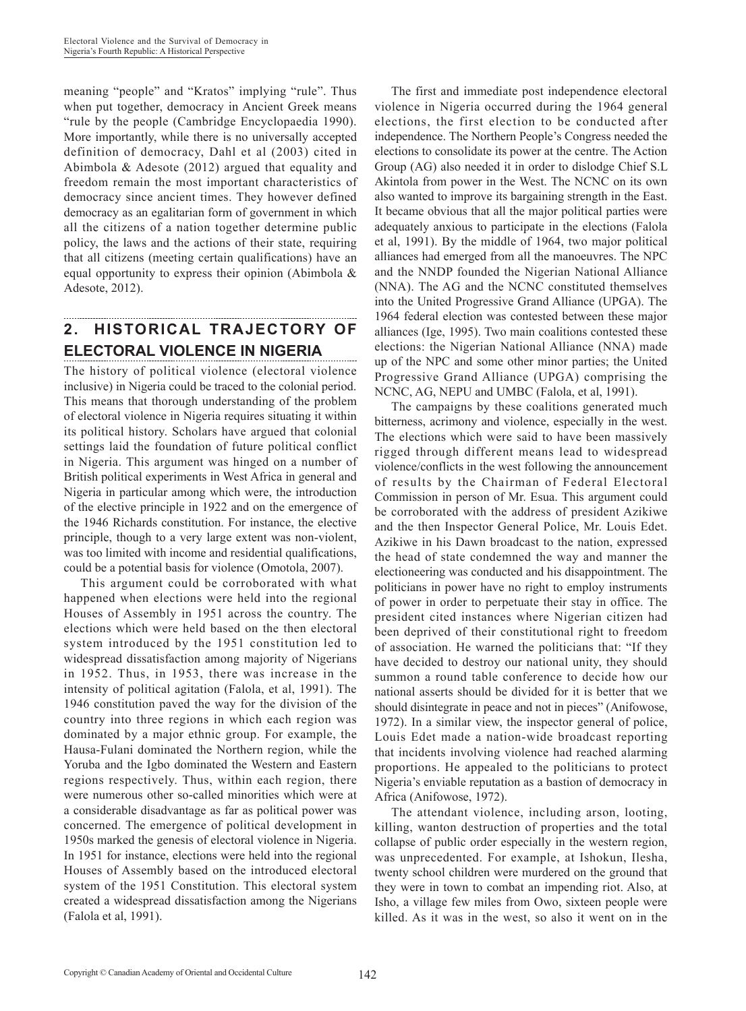meaning "people" and "Kratos" implying "rule". Thus when put together, democracy in Ancient Greek means "rule by the people (Cambridge Encyclopaedia 1990). More importantly, while there is no universally accepted definition of democracy, Dahl et al (2003) cited in Abimbola & Adesote (2012) argued that equality and freedom remain the most important characteristics of democracy since ancient times. They however defined democracy as an egalitarian form of government in which all the citizens of a nation together determine public policy, the laws and the actions of their state, requiring that all citizens (meeting certain qualifications) have an equal opportunity to express their opinion (Abimbola & Adesote, 2012).

# **2. HISTORICAL TRAJECTORY OF ELECTORAL VIOLENCE IN NIGERIA**

The history of political violence (electoral violence inclusive) in Nigeria could be traced to the colonial period. This means that thorough understanding of the problem of electoral violence in Nigeria requires situating it within its political history. Scholars have argued that colonial settings laid the foundation of future political conflict in Nigeria. This argument was hinged on a number of British political experiments in West Africa in general and Nigeria in particular among which were, the introduction of the elective principle in 1922 and on the emergence of the 1946 Richards constitution. For instance, the elective principle, though to a very large extent was non-violent, was too limited with income and residential qualifications, could be a potential basis for violence (Omotola, 2007).

This argument could be corroborated with what happened when elections were held into the regional Houses of Assembly in 1951 across the country. The elections which were held based on the then electoral system introduced by the 1951 constitution led to widespread dissatisfaction among majority of Nigerians in 1952. Thus, in 1953, there was increase in the intensity of political agitation (Falola, et al, 1991). The 1946 constitution paved the way for the division of the country into three regions in which each region was dominated by a major ethnic group. For example, the Hausa-Fulani dominated the Northern region, while the Yoruba and the Igbo dominated the Western and Eastern regions respectively. Thus, within each region, there were numerous other so-called minorities which were at a considerable disadvantage as far as political power was concerned. The emergence of political development in 1950s marked the genesis of electoral violence in Nigeria. In 1951 for instance, elections were held into the regional Houses of Assembly based on the introduced electoral system of the 1951 Constitution. This electoral system created a widespread dissatisfaction among the Nigerians (Falola et al, 1991).

The first and immediate post independence electoral violence in Nigeria occurred during the 1964 general elections, the first election to be conducted after independence. The Northern People's Congress needed the elections to consolidate its power at the centre. The Action Group (AG) also needed it in order to dislodge Chief S.L Akintola from power in the West. The NCNC on its own also wanted to improve its bargaining strength in the East. It became obvious that all the major political parties were adequately anxious to participate in the elections (Falola et al, 1991). By the middle of 1964, two major political alliances had emerged from all the manoeuvres. The NPC and the NNDP founded the Nigerian National Alliance (NNA). The AG and the NCNC constituted themselves into the United Progressive Grand Alliance (UPGA). The 1964 federal election was contested between these major alliances (Ige, 1995). Two main coalitions contested these elections: the Nigerian National Alliance (NNA) made up of the NPC and some other minor parties; the United Progressive Grand Alliance (UPGA) comprising the NCNC, AG, NEPU and UMBC (Falola, et al, 1991).

The campaigns by these coalitions generated much bitterness, acrimony and violence, especially in the west. The elections which were said to have been massively rigged through different means lead to widespread violence/conflicts in the west following the announcement of results by the Chairman of Federal Electoral Commission in person of Mr. Esua. This argument could be corroborated with the address of president Azikiwe and the then Inspector General Police, Mr. Louis Edet. Azikiwe in his Dawn broadcast to the nation, expressed the head of state condemned the way and manner the electioneering was conducted and his disappointment. The politicians in power have no right to employ instruments of power in order to perpetuate their stay in office. The president cited instances where Nigerian citizen had been deprived of their constitutional right to freedom of association. He warned the politicians that: "If they have decided to destroy our national unity, they should summon a round table conference to decide how our national asserts should be divided for it is better that we should disintegrate in peace and not in pieces" (Anifowose, 1972). In a similar view, the inspector general of police, Louis Edet made a nation-wide broadcast reporting that incidents involving violence had reached alarming proportions. He appealed to the politicians to protect Nigeria's enviable reputation as a bastion of democracy in Africa (Anifowose, 1972).

The attendant violence, including arson, looting, killing, wanton destruction of properties and the total collapse of public order especially in the western region, was unprecedented. For example, at Ishokun, Ilesha, twenty school children were murdered on the ground that they were in town to combat an impending riot. Also, at Isho, a village few miles from Owo, sixteen people were killed. As it was in the west, so also it went on in the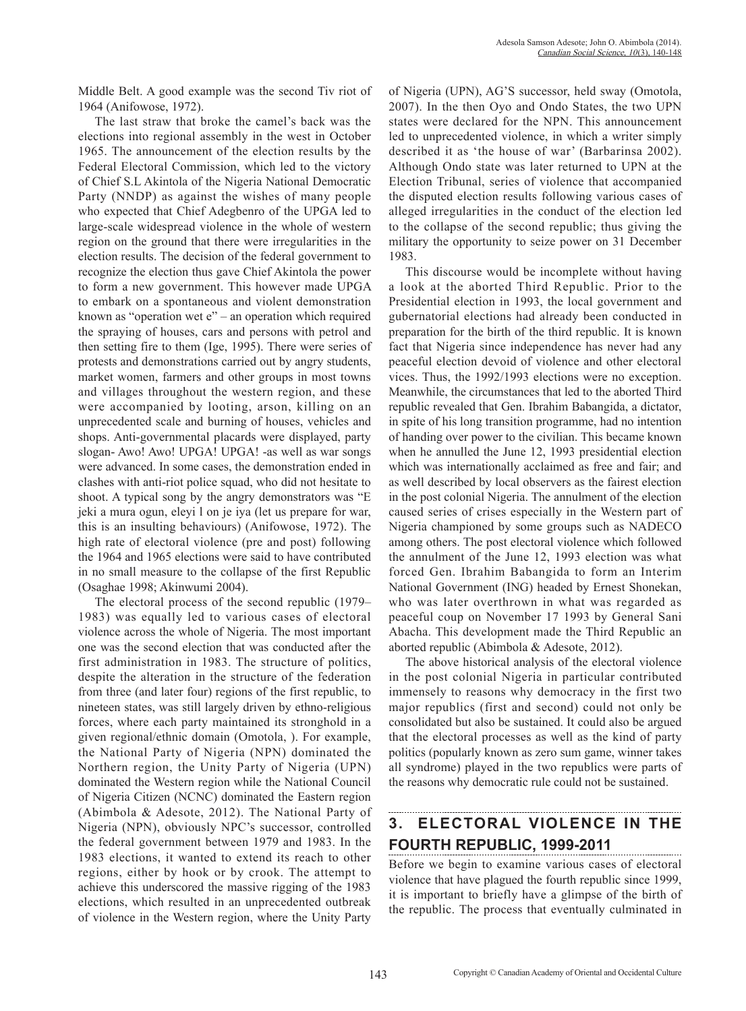Middle Belt. A good example was the second Tiv riot of 1964 (Anifowose, 1972).

The last straw that broke the camel's back was the elections into regional assembly in the west in October 1965. The announcement of the election results by the Federal Electoral Commission, which led to the victory of Chief S.L Akintola of the Nigeria National Democratic Party (NNDP) as against the wishes of many people who expected that Chief Adegbenro of the UPGA led to large-scale widespread violence in the whole of western region on the ground that there were irregularities in the election results. The decision of the federal government to recognize the election thus gave Chief Akintola the power to form a new government. This however made UPGA to embark on a spontaneous and violent demonstration known as "operation wet e" – an operation which required the spraying of houses, cars and persons with petrol and then setting fire to them (Ige, 1995). There were series of protests and demonstrations carried out by angry students, market women, farmers and other groups in most towns and villages throughout the western region, and these were accompanied by looting, arson, killing on an unprecedented scale and burning of houses, vehicles and shops. Anti-governmental placards were displayed, party slogan- Awo! Awo! UPGA! UPGA! -as well as war songs were advanced. In some cases, the demonstration ended in clashes with anti-riot police squad, who did not hesitate to shoot. A typical song by the angry demonstrators was "E jeki a mura ogun, eleyi l on je iya (let us prepare for war, this is an insulting behaviours) (Anifowose, 1972). The high rate of electoral violence (pre and post) following the 1964 and 1965 elections were said to have contributed in no small measure to the collapse of the first Republic (Osaghae 1998; Akinwumi 2004).

The electoral process of the second republic (1979– 1983) was equally led to various cases of electoral violence across the whole of Nigeria. The most important one was the second election that was conducted after the first administration in 1983. The structure of politics, despite the alteration in the structure of the federation from three (and later four) regions of the first republic, to nineteen states, was still largely driven by ethno-religious forces, where each party maintained its stronghold in a given regional/ethnic domain (Omotola, ). For example, the National Party of Nigeria (NPN) dominated the Northern region, the Unity Party of Nigeria (UPN) dominated the Western region while the National Council of Nigeria Citizen (NCNC) dominated the Eastern region (Abimbola & Adesote, 2012). The National Party of Nigeria (NPN), obviously NPC's successor, controlled the federal government between 1979 and 1983. In the 1983 elections, it wanted to extend its reach to other regions, either by hook or by crook. The attempt to achieve this underscored the massive rigging of the 1983 elections, which resulted in an unprecedented outbreak of violence in the Western region, where the Unity Party of Nigeria (UPN), AG'S successor, held sway (Omotola, 2007). In the then Oyo and Ondo States, the two UPN states were declared for the NPN. This announcement led to unprecedented violence, in which a writer simply described it as 'the house of war' (Barbarinsa 2002). Although Ondo state was later returned to UPN at the Election Tribunal, series of violence that accompanied the disputed election results following various cases of alleged irregularities in the conduct of the election led to the collapse of the second republic; thus giving the military the opportunity to seize power on 31 December 1983.

This discourse would be incomplete without having a look at the aborted Third Republic. Prior to the Presidential election in 1993, the local government and gubernatorial elections had already been conducted in preparation for the birth of the third republic. It is known fact that Nigeria since independence has never had any peaceful election devoid of violence and other electoral vices. Thus, the 1992/1993 elections were no exception. Meanwhile, the circumstances that led to the aborted Third republic revealed that Gen. Ibrahim Babangida, a dictator, in spite of his long transition programme, had no intention of handing over power to the civilian. This became known when he annulled the June 12, 1993 presidential election which was internationally acclaimed as free and fair; and as well described by local observers as the fairest election in the post colonial Nigeria. The annulment of the election caused series of crises especially in the Western part of Nigeria championed by some groups such as NADECO among others. The post electoral violence which followed the annulment of the June 12, 1993 election was what forced Gen. Ibrahim Babangida to form an Interim National Government (ING) headed by Ernest Shonekan, who was later overthrown in what was regarded as peaceful coup on November 17 1993 by General Sani Abacha. This development made the Third Republic an aborted republic (Abimbola & Adesote, 2012).

The above historical analysis of the electoral violence in the post colonial Nigeria in particular contributed immensely to reasons why democracy in the first two major republics (first and second) could not only be consolidated but also be sustained. It could also be argued that the electoral processes as well as the kind of party politics (popularly known as zero sum game, winner takes all syndrome) played in the two republics were parts of the reasons why democratic rule could not be sustained.

## **3. ELECTORAL VIOLENCE IN THE FOURTH REPUBLIC, 1999-2011**

Before we begin to examine various cases of electoral violence that have plagued the fourth republic since 1999, it is important to briefly have a glimpse of the birth of the republic. The process that eventually culminated in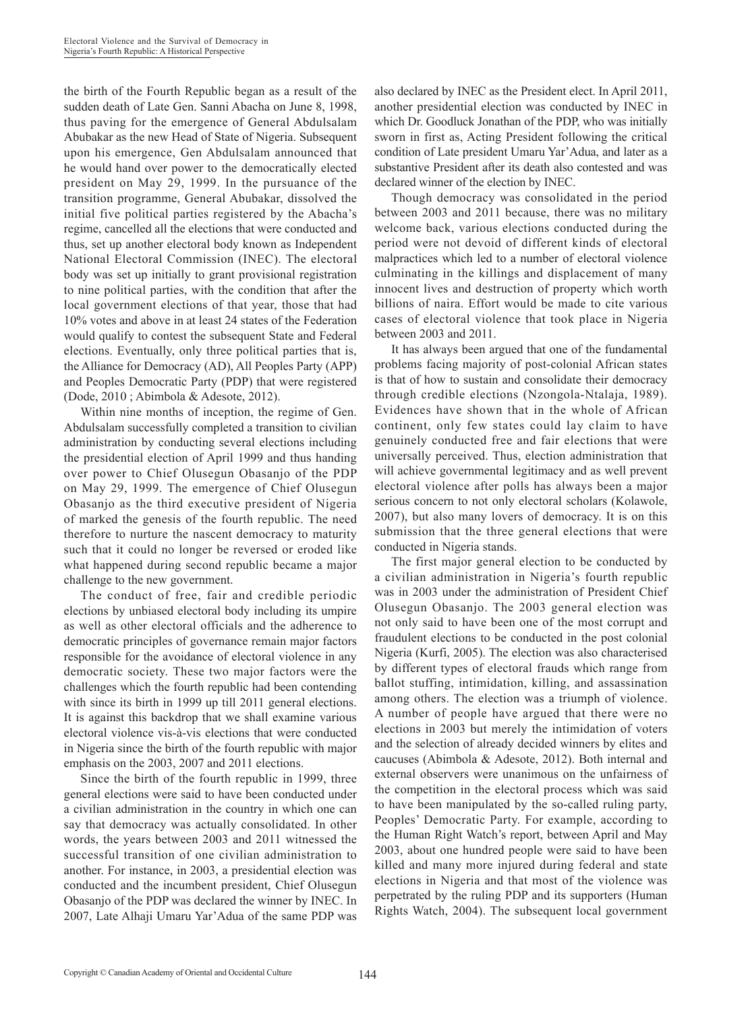the birth of the Fourth Republic began as a result of the sudden death of Late Gen. Sanni Abacha on June 8, 1998, thus paving for the emergence of General Abdulsalam Abubakar as the new Head of State of Nigeria. Subsequent upon his emergence, Gen Abdulsalam announced that he would hand over power to the democratically elected president on May 29, 1999. In the pursuance of the transition programme, General Abubakar, dissolved the initial five political parties registered by the Abacha's regime, cancelled all the elections that were conducted and thus, set up another electoral body known as Independent National Electoral Commission (INEC). The electoral body was set up initially to grant provisional registration to nine political parties, with the condition that after the local government elections of that year, those that had 10% votes and above in at least 24 states of the Federation would qualify to contest the subsequent State and Federal elections. Eventually, only three political parties that is, the Alliance for Democracy (AD), All Peoples Party (APP) and Peoples Democratic Party (PDP) that were registered (Dode, 2010 ; Abimbola & Adesote, 2012).

Within nine months of inception, the regime of Gen. Abdulsalam successfully completed a transition to civilian administration by conducting several elections including the presidential election of April 1999 and thus handing over power to Chief Olusegun Obasanjo of the PDP on May 29, 1999. The emergence of Chief Olusegun Obasanjo as the third executive president of Nigeria of marked the genesis of the fourth republic. The need therefore to nurture the nascent democracy to maturity such that it could no longer be reversed or eroded like what happened during second republic became a major challenge to the new government.

The conduct of free, fair and credible periodic elections by unbiased electoral body including its umpire as well as other electoral officials and the adherence to democratic principles of governance remain major factors responsible for the avoidance of electoral violence in any democratic society. These two major factors were the challenges which the fourth republic had been contending with since its birth in 1999 up till 2011 general elections. It is against this backdrop that we shall examine various electoral violence vis-à-vis elections that were conducted in Nigeria since the birth of the fourth republic with major emphasis on the 2003, 2007 and 2011 elections.

Since the birth of the fourth republic in 1999, three general elections were said to have been conducted under a civilian administration in the country in which one can say that democracy was actually consolidated. In other words, the years between 2003 and 2011 witnessed the successful transition of one civilian administration to another. For instance, in 2003, a presidential election was conducted and the incumbent president, Chief Olusegun Obasanjo of the PDP was declared the winner by INEC. In 2007, Late Alhaji Umaru Yar'Adua of the same PDP was also declared by INEC as the President elect. In April 2011, another presidential election was conducted by INEC in which Dr. Goodluck Jonathan of the PDP, who was initially sworn in first as, Acting President following the critical condition of Late president Umaru Yar'Adua, and later as a substantive President after its death also contested and was declared winner of the election by INEC.

Though democracy was consolidated in the period between 2003 and 2011 because, there was no military welcome back, various elections conducted during the period were not devoid of different kinds of electoral malpractices which led to a number of electoral violence culminating in the killings and displacement of many innocent lives and destruction of property which worth billions of naira. Effort would be made to cite various cases of electoral violence that took place in Nigeria between 2003 and 2011.

It has always been argued that one of the fundamental problems facing majority of post-colonial African states is that of how to sustain and consolidate their democracy through credible elections (Nzongola-Ntalaja, 1989). Evidences have shown that in the whole of African continent, only few states could lay claim to have genuinely conducted free and fair elections that were universally perceived. Thus, election administration that will achieve governmental legitimacy and as well prevent electoral violence after polls has always been a major serious concern to not only electoral scholars (Kolawole, 2007), but also many lovers of democracy. It is on this submission that the three general elections that were conducted in Nigeria stands.

The first major general election to be conducted by a civilian administration in Nigeria's fourth republic was in 2003 under the administration of President Chief Olusegun Obasanjo. The 2003 general election was not only said to have been one of the most corrupt and fraudulent elections to be conducted in the post colonial Nigeria (Kurfi, 2005). The election was also characterised by different types of electoral frauds which range from ballot stuffing, intimidation, killing, and assassination among others. The election was a triumph of violence. A number of people have argued that there were no elections in 2003 but merely the intimidation of voters and the selection of already decided winners by elites and caucuses (Abimbola & Adesote, 2012). Both internal and external observers were unanimous on the unfairness of the competition in the electoral process which was said to have been manipulated by the so-called ruling party, Peoples' Democratic Party. For example, according to the Human Right Watch's report, between April and May 2003, about one hundred people were said to have been killed and many more injured during federal and state elections in Nigeria and that most of the violence was perpetrated by the ruling PDP and its supporters (Human Rights Watch, 2004). The subsequent local government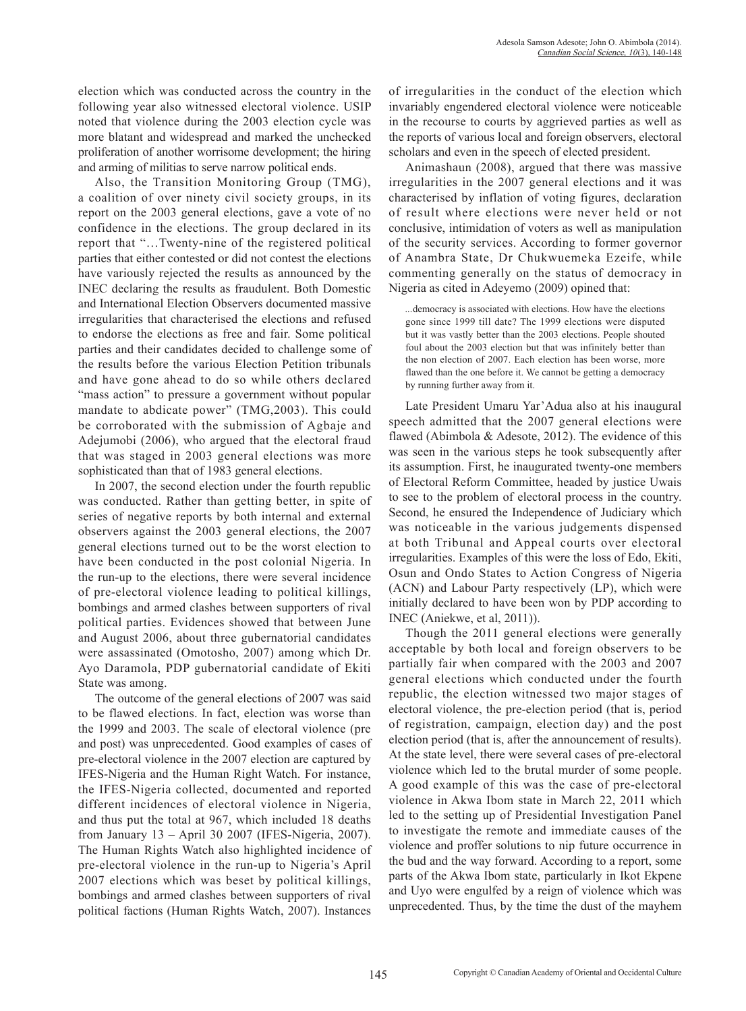election which was conducted across the country in the following year also witnessed electoral violence. USIP noted that violence during the 2003 election cycle was more blatant and widespread and marked the unchecked proliferation of another worrisome development; the hiring and arming of militias to serve narrow political ends.

Also, the Transition Monitoring Group (TMG), a coalition of over ninety civil society groups, in its report on the 2003 general elections, gave a vote of no confidence in the elections. The group declared in its report that "…Twenty-nine of the registered political parties that either contested or did not contest the elections have variously rejected the results as announced by the INEC declaring the results as fraudulent. Both Domestic and International Election Observers documented massive irregularities that characterised the elections and refused to endorse the elections as free and fair. Some political parties and their candidates decided to challenge some of the results before the various Election Petition tribunals and have gone ahead to do so while others declared "mass action" to pressure a government without popular mandate to abdicate power" (TMG,2003). This could be corroborated with the submission of Agbaje and Adejumobi (2006), who argued that the electoral fraud that was staged in 2003 general elections was more sophisticated than that of 1983 general elections.

In 2007, the second election under the fourth republic was conducted. Rather than getting better, in spite of series of negative reports by both internal and external observers against the 2003 general elections, the 2007 general elections turned out to be the worst election to have been conducted in the post colonial Nigeria. In the run-up to the elections, there were several incidence of pre-electoral violence leading to political killings, bombings and armed clashes between supporters of rival political parties. Evidences showed that between June and August 2006, about three gubernatorial candidates were assassinated (Omotosho, 2007) among which Dr. Ayo Daramola, PDP gubernatorial candidate of Ekiti State was among.

The outcome of the general elections of 2007 was said to be flawed elections. In fact, election was worse than the 1999 and 2003. The scale of electoral violence (pre and post) was unprecedented. Good examples of cases of pre-electoral violence in the 2007 election are captured by IFES-Nigeria and the Human Right Watch. For instance, the IFES-Nigeria collected, documented and reported different incidences of electoral violence in Nigeria, and thus put the total at 967, which included 18 deaths from January 13 – April 30 2007 (IFES-Nigeria, 2007). The Human Rights Watch also highlighted incidence of pre-electoral violence in the run-up to Nigeria's April 2007 elections which was beset by political killings, bombings and armed clashes between supporters of rival political factions (Human Rights Watch, 2007). Instances of irregularities in the conduct of the election which invariably engendered electoral violence were noticeable in the recourse to courts by aggrieved parties as well as the reports of various local and foreign observers, electoral scholars and even in the speech of elected president.

Animashaun (2008), argued that there was massive irregularities in the 2007 general elections and it was characterised by inflation of voting figures, declaration of result where elections were never held or not conclusive, intimidation of voters as well as manipulation of the security services. According to former governor of Anambra State, Dr Chukwuemeka Ezeife, while commenting generally on the status of democracy in Nigeria as cited in Adeyemo (2009) opined that:

*...*democracy is associated with elections. How have the elections gone since 1999 till date? The 1999 elections were disputed but it was vastly better than the 2003 elections. People shouted foul about the 2003 election but that was infinitely better than the non election of 2007. Each election has been worse, more flawed than the one before it. We cannot be getting a democracy by running further away from it.

Late President Umaru Yar'Adua also at his inaugural speech admitted that the 2007 general elections were flawed (Abimbola & Adesote, 2012). The evidence of this was seen in the various steps he took subsequently after its assumption. First, he inaugurated twenty-one members of Electoral Reform Committee, headed by justice Uwais to see to the problem of electoral process in the country. Second, he ensured the Independence of Judiciary which was noticeable in the various judgements dispensed at both Tribunal and Appeal courts over electoral irregularities. Examples of this were the loss of Edo, Ekiti, Osun and Ondo States to Action Congress of Nigeria (ACN) and Labour Party respectively (LP), which were initially declared to have been won by PDP according to INEC (Aniekwe, et al, 2011)).

Though the 2011 general elections were generally acceptable by both local and foreign observers to be partially fair when compared with the 2003 and 2007 general elections which conducted under the fourth republic, the election witnessed two major stages of electoral violence, the pre-election period (that is, period of registration, campaign, election day) and the post election period (that is, after the announcement of results). At the state level, there were several cases of pre-electoral violence which led to the brutal murder of some people. A good example of this was the case of pre-electoral violence in Akwa Ibom state in March 22, 2011 which led to the setting up of Presidential Investigation Panel to investigate the remote and immediate causes of the violence and proffer solutions to nip future occurrence in the bud and the way forward. According to a report, some parts of the Akwa Ibom state, particularly in Ikot Ekpene and Uyo were engulfed by a reign of violence which was unprecedented. Thus, by the time the dust of the mayhem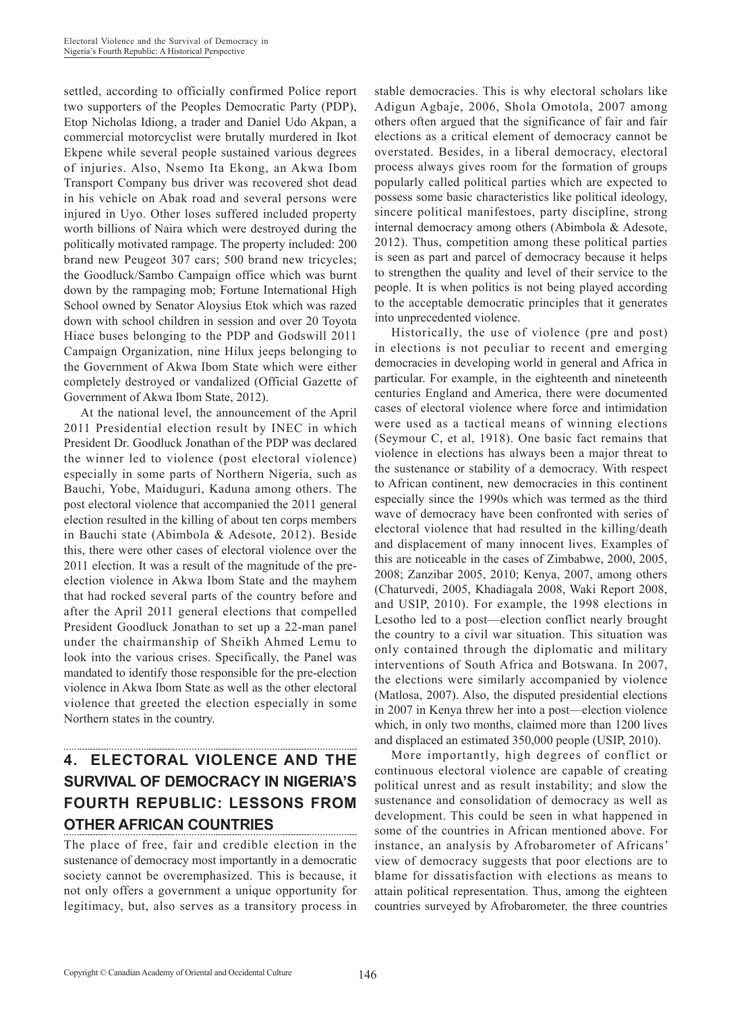settled, according to officially confirmed Police report two supporters of the Peoples Democratic Party (PDP), Etop Nicholas Idiong, a trader and Daniel Udo Akpan, a commercial motorcyclist were brutally murdered in Ikot Ekpene while several people sustained various degrees of injuries. Also, Nsemo Ita Ekong, an Akwa Ibom Transport Company bus driver was recovered shot dead in his vehicle on Abak road and several persons were injured in Uyo. Other loses suffered included property worth billions of Naira which were destroyed during the politically motivated rampage. The property included: 200 brand new Peugeot 307 cars; 500 brand new tricycles; the Goodluck/Sambo Campaign office which was burnt down by the rampaging mob; Fortune International High School owned by Senator Aloysius Etok which was razed down with school children in session and over 20 Toyota Hiace buses belonging to the PDP and Godswill 2011 Campaign Organization, nine Hilux jeeps belonging to the Government of Akwa Ibom State which were either completely destroyed or vandalized (Official Gazette of Government of Akwa Ibom State, 2012).

At the national level, the announcement of the April 2011 Presidential election result by INEC in which President Dr. Goodluck Jonathan of the PDP was declared the winner led to violence (post electoral violence) especially in some parts of Northern Nigeria, such as Bauchi, Yobe, Maiduguri, Kaduna among others. The post electoral violence that accompanied the 2011 general election resulted in the killing of about ten corps members in Bauchi state (Abimbola & Adesote, 2012). Beside this, there were other cases of electoral violence over the 2011 election. It was a result of the magnitude of the preelection violence in Akwa Ibom State and the mayhem that had rocked several parts of the country before and after the April 2011 general elections that compelled President Goodluck Jonathan to set up a 22-man panel under the chairmanship of Sheikh Ahmed Lemu to look into the various crises. Specifically, the Panel was mandated to identify those responsible for the pre-election violence in Akwa Ibom State as well as the other electoral violence that greeted the election especially in some Northern states in the country.

## **4. ELECTORAL VIOLENCE AND THE SURVIVAL OF DEMOCRACY IN NIGERIA'S FOURTH REPUBLIC: LESSONS FROM OTHER AFRICAN COUNTRIES**

The place of free, fair and credible election in the sustenance of democracy most importantly in a democratic society cannot be overemphasized. This is because, it not only offers a government a unique opportunity for legitimacy, but, also serves as a transitory process in stable democracies. This is why electoral scholars like Adigun Agbaje, 2006, Shola Omotola, 2007 among others often argued that the significance of fair and fair elections as a critical element of democracy cannot be overstated. Besides, in a liberal democracy, electoral process always gives room for the formation of groups popularly called political parties which are expected to possess some basic characteristics like political ideology, sincere political manifestoes, party discipline, strong internal democracy among others (Abimbola & Adesote, 2012). Thus, competition among these political parties is seen as part and parcel of democracy because it helps to strengthen the quality and level of their service to the people. It is when politics is not being played according to the acceptable democratic principles that it generates into unprecedented violence.

Historically, the use of violence (pre and post) in elections is not peculiar to recent and emerging democracies in developing world in general and Africa in particular. For example, in the eighteenth and nineteenth centuries England and America, there were documented cases of electoral violence where force and intimidation were used as a tactical means of winning elections (Seymour C, et al, 1918). One basic fact remains that violence in elections has always been a major threat to the sustenance or stability of a democracy. With respect to African continent, new democracies in this continent especially since the 1990s which was termed as the third wave of democracy have been confronted with series of electoral violence that had resulted in the killing/death and displacement of many innocent lives. Examples of this are noticeable in the cases of Zimbabwe, 2000, 2005, 2008; Zanzibar 2005, 2010; Kenya, 2007, among others (Chaturvedi, 2005, Khadiagala 2008, Waki Report 2008, and USIP, 2010). For example, the 1998 elections in Lesotho led to a post—election conflict nearly brought the country to a civil war situation. This situation was only contained through the diplomatic and military interventions of South Africa and Botswana. In 2007, the elections were similarly accompanied by violence (Matlosa, 2007). Also, the disputed presidential elections in 2007 in Kenya threw her into a post—election violence which, in only two months, claimed more than 1200 lives and displaced an estimated 350,000 people (USIP, 2010).

More importantly, high degrees of conflict or continuous electoral violence are capable of creating political unrest and as result instability; and slow the sustenance and consolidation of democracy as well as development. This could be seen in what happened in some of the countries in African mentioned above. For instance, an analysis by Afrobarometer of Africans' view of democracy suggests that poor elections are to blame for dissatisfaction with elections as means to attain political representation. Thus, among the eighteen countries surveyed by Afrobarometer*,* the three countries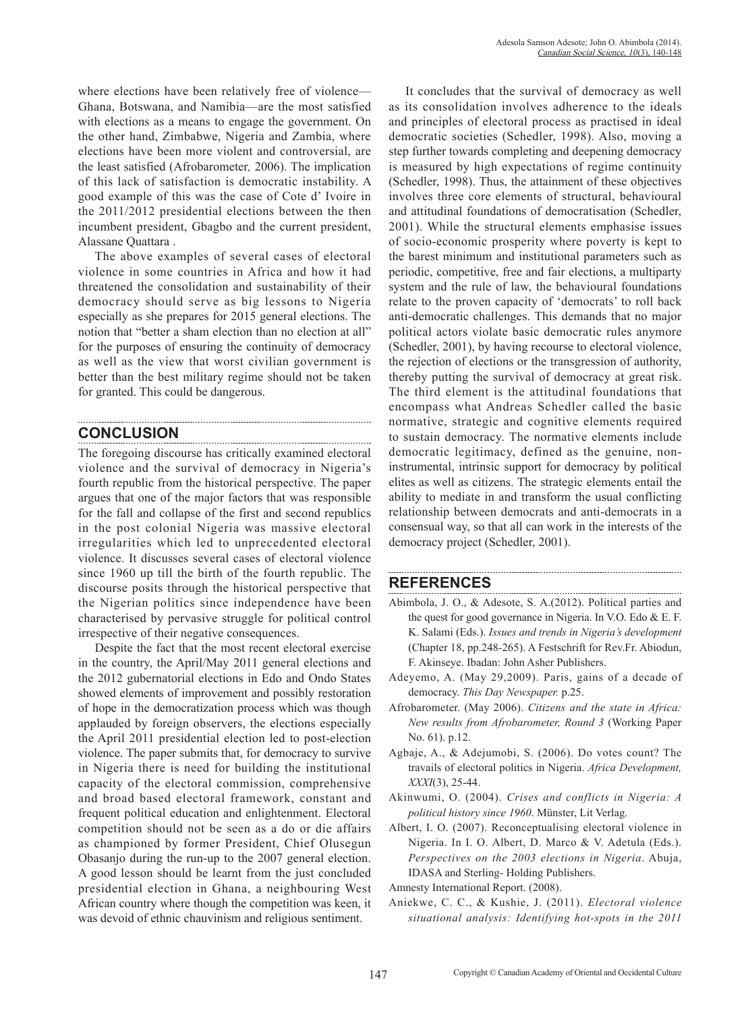where elections have been relatively free of violence— Ghana, Botswana, and Namibia—are the most satisfied with elections as a means to engage the government. On the other hand, Zimbabwe, Nigeria and Zambia, where elections have been more violent and controversial, are the least satisfied (Afrobarometer*,* 2006). The implication of this lack of satisfaction is democratic instability. A good example of this was the case of Cote d' Ivoire in the 2011/2012 presidential elections between the then incumbent president, Gbagbo and the current president, Alassane Quattara .

The above examples of several cases of electoral violence in some countries in Africa and how it had threatened the consolidation and sustainability of their democracy should serve as big lessons to Nigeria especially as she prepares for 2015 general elections. The notion that "better a sham election than no election at all" for the purposes of ensuring the continuity of democracy as well as the view that worst civilian government is better than the best military regime should not be taken for granted. This could be dangerous.

## **CONCLUSION**

The foregoing discourse has critically examined electoral violence and the survival of democracy in Nigeria's fourth republic from the historical perspective. The paper argues that one of the major factors that was responsible for the fall and collapse of the first and second republics in the post colonial Nigeria was massive electoral irregularities which led to unprecedented electoral violence. It discusses several cases of electoral violence since 1960 up till the birth of the fourth republic. The discourse posits through the historical perspective that the Nigerian politics since independence have been characterised by pervasive struggle for political control irrespective of their negative consequences.

Despite the fact that the most recent electoral exercise in the country, the April/May 2011 general elections and the 2012 gubernatorial elections in Edo and Ondo States showed elements of improvement and possibly restoration of hope in the democratization process which was though applauded by foreign observers, the elections especially the April 2011 presidential election led to post-election violence. The paper submits that, for democracy to survive in Nigeria there is need for building the institutional capacity of the electoral commission, comprehensive and broad based electoral framework, constant and frequent political education and enlightenment. Electoral competition should not be seen as a do or die affairs as championed by former President, Chief Olusegun Obasanjo during the run-up to the 2007 general election. A good lesson should be learnt from the just concluded presidential election in Ghana, a neighbouring West African country where though the competition was keen, it was devoid of ethnic chauvinism and religious sentiment.

It concludes that the survival of democracy as well as its consolidation involves adherence to the ideals and principles of electoral process as practised in ideal democratic societies (Schedler, 1998). Also, moving a step further towards completing and deepening democracy is measured by high expectations of regime continuity (Schedler, 1998). Thus, the attainment of these objectives involves three core elements of structural, behavioural and attitudinal foundations of democratisation (Schedler, 2001). While the structural elements emphasise issues of socio-economic prosperity where poverty is kept to the barest minimum and institutional parameters such as periodic, competitive, free and fair elections, a multiparty system and the rule of law, the behavioural foundations relate to the proven capacity of 'democrats' to roll back anti-democratic challenges. This demands that no major political actors violate basic democratic rules anymore (Schedler, 2001), by having recourse to electoral violence, the rejection of elections or the transgression of authority, thereby putting the survival of democracy at great risk. The third element is the attitudinal foundations that encompass what Andreas Schedler called the basic normative, strategic and cognitive elements required to sustain democracy. The normative elements include democratic legitimacy, defined as the genuine, noninstrumental, intrinsic support for democracy by political elites as well as citizens. The strategic elements entail the ability to mediate in and transform the usual conflicting relationship between democrats and anti-democrats in a consensual way, so that all can work in the interests of the democracy project (Schedler, 2001).

### **REFERENCES**

Abimbola, J. O., & Adesote, S. A.(2012). Political parties and the quest for good governance in Nigeria. In V.O. Edo & E. F. K. Salami (Eds.). *Issues and trends in Nigeria's development*  (Chapter 18, pp.248-265). A Festschrift for Rev.Fr. Abiodun, F. Akinseye. Ibadan: John Asher Publishers.

- Adeyemo, A. (May 29,2009). Paris, gains of a decade of democracy. *This Day Newspaper.* p.25.
- Afrobarometer. (May 2006). *Citizens and the state in Africa: New results from Afrobarometer, Round 3* (Working Paper No. 61). p.12.
- Agbaje, A., & Adejumobi, S. (2006). Do votes count? The travails of electoral politics in Nigeria. *Africa Development, XXXI*(3), 25-44.
- Akinwumi, O. (2004). *Crises and conflicts in Nigeria: A political history since 1960*. Münster, Lit Verlag.
- Albert, I. O. (2007). Reconceptualising electoral violence in Nigeria. In I. O. Albert, D. Marco & V. Adetula (Eds.). *Perspectives on the 2003 elections in Nigeria*. Abuja, IDASA and Sterling- Holding Publishers.

Amnesty International Report. (2008).

Aniekwe, C. C., & Kushie, J. (2011). *Electoral violence situational analysis: Identifying hot-spots in the 2011*